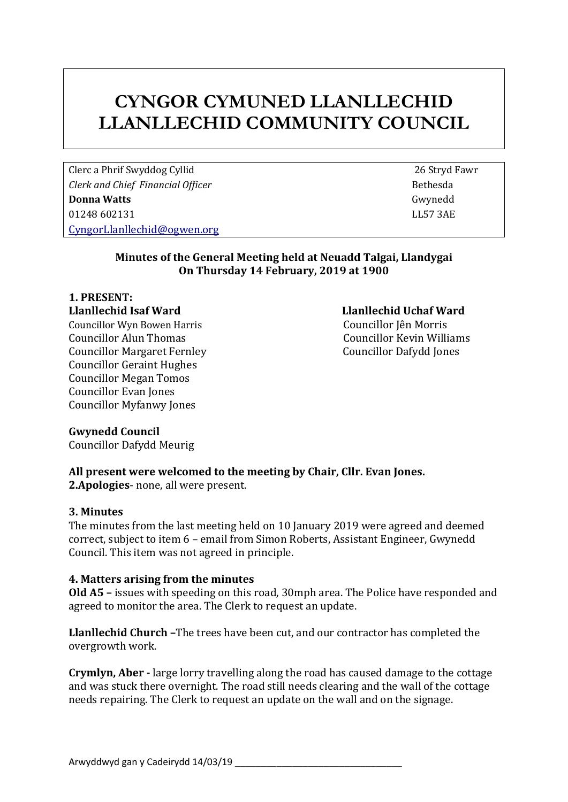## **CYNGOR CYMUNED LLANLLECHID LLANLLECHID COMMUNITY COUNCIL**

Clerc a Phrif Swyddog Cyllid 26 Stryd Fawr *Clerk* and *Chief Financial Officer* **Bethesda Bethesda Donna Watts** Gwynedd 01248 602131 LL57 3AE [CyngorLlanllechid@ogwen.org](mailto:CyngorLlanllechid@ogwen.org)

## **Minutes of the General Meeting held at Neuadd Talgai, Llandygai On Thursday 14 February, 2019 at 1900**

# **1. PRESENT:**

Councillor Wyn Bowen Harris Councillor Jên Morris Councillor Alun Thomas Councillor Kevin Williams Councillor Margaret Fernley Councillor Dafydd Jones Councillor Geraint Hughes Councillor Megan Tomos Councillor Evan Jones Councillor Myfanwy Jones

## **Llanllechid Isaf Ward Llanllechid Uchaf Ward**

## **Gwynedd Council**

Councillor Dafydd Meurig

## **All present were welcomed to the meeting by Chair, Cllr. Evan Jones.**

**2.Apologies**- none, all were present.

## **3. Minutes**

The minutes from the last meeting held on 10 January 2019 were agreed and deemed correct, subject to item 6 – email from Simon Roberts, Assistant Engineer, Gwynedd Council. This item was not agreed in principle.

## **4. Matters arising from the minutes**

**Old A5 –** issues with speeding on this road, 30mph area. The Police have responded and agreed to monitor the area. The Clerk to request an update.

**Llanllechid Church –**The trees have been cut, and our contractor has completed the overgrowth work.

**Crymlyn, Aber -** large lorry travelling along the road has caused damage to the cottage and was stuck there overnight. The road still needs clearing and the wall of the cottage needs repairing. The Clerk to request an update on the wall and on the signage.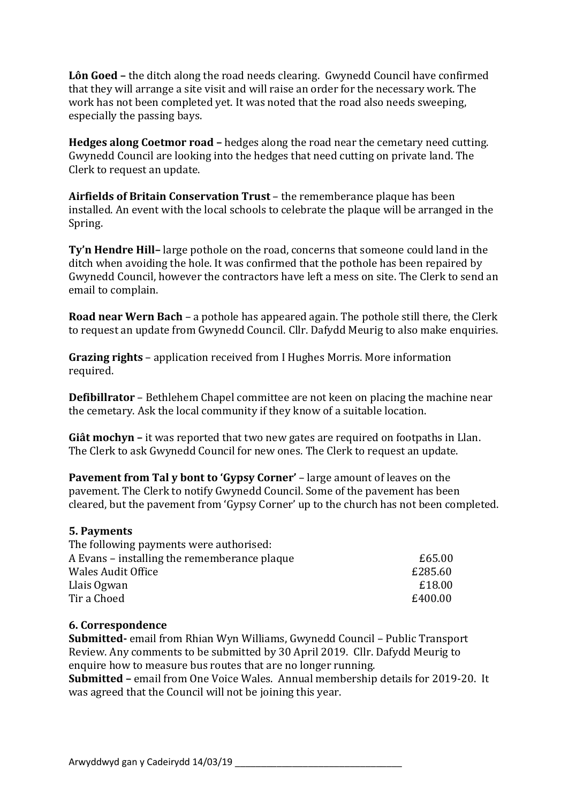**Lôn Goed –** the ditch along the road needs clearing. Gwynedd Council have confirmed that they will arrange a site visit and will raise an order for the necessary work. The work has not been completed yet. It was noted that the road also needs sweeping, especially the passing bays.

**Hedges along Coetmor road –** hedges along the road near the cemetary need cutting. Gwynedd Council are looking into the hedges that need cutting on private land. The Clerk to request an update.

**Airfields of Britain Conservation Trust** – the rememberance plaque has been installed. An event with the local schools to celebrate the plaque will be arranged in the Spring.

**Ty'n Hendre Hill–** large pothole on the road, concerns that someone could land in the ditch when avoiding the hole. It was confirmed that the pothole has been repaired by Gwynedd Council, however the contractors have left a mess on site. The Clerk to send an email to complain.

**Road near Wern Bach** – a pothole has appeared again. The pothole still there, the Clerk to request an update from Gwynedd Council. Cllr. Dafydd Meurig to also make enquiries.

**Grazing rights** – application received from I Hughes Morris. More information required.

**Defibillrator** – Bethlehem Chapel committee are not keen on placing the machine near the cemetary. Ask the local community if they know of a suitable location.

**Giât mochyn –** it was reported that two new gates are required on footpaths in Llan. The Clerk to ask Gwynedd Council for new ones. The Clerk to request an update.

**Pavement from Tal y bont to 'Gypsy Corner'** – large amount of leaves on the pavement. The Clerk to notify Gwynedd Council. Some of the pavement has been cleared, but the pavement from 'Gypsy Corner' up to the church has not been completed.

#### **5. Payments** The following payments were authorised:

| The following payments were authorised:      |         |
|----------------------------------------------|---------|
| A Evans – installing the rememberance plaque | £65.00  |
| <b>Wales Audit Office</b>                    | £285.60 |
| Llais Ogwan                                  | £18.00  |
| Tir a Choed                                  | £400.00 |
|                                              |         |

## **6. Correspondence**

**Submitted-** email from Rhian Wyn Williams, Gwynedd Council – Public Transport Review. Any comments to be submitted by 30 April 2019. Cllr. Dafydd Meurig to enquire how to measure bus routes that are no longer running. **Submitted –** email from One Voice Wales. Annual membership details for 2019-20. It was agreed that the Council will not be joining this year.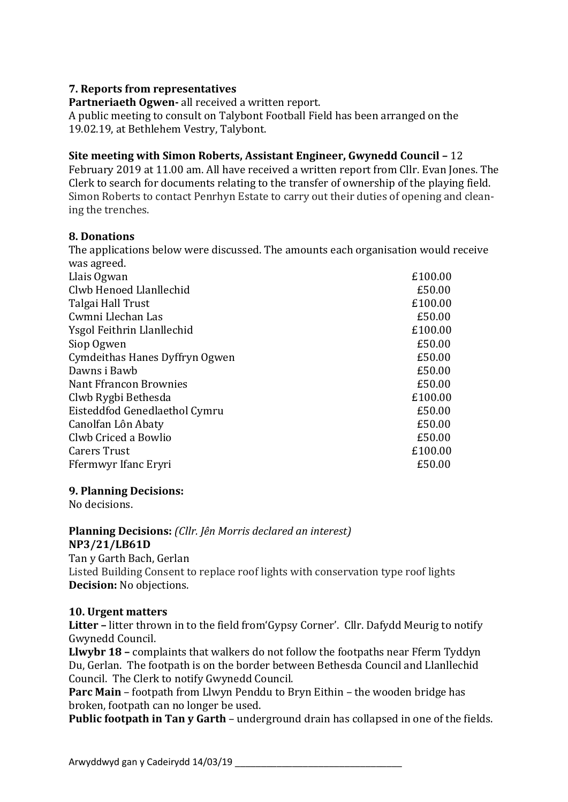## **7. Reports from representatives**

**Partneriaeth Ogwen-** all received a written report. A public meeting to consult on Talybont Football Field has been arranged on the 19.02.19, at Bethlehem Vestry, Talybont.

## **Site meeting with Simon Roberts, Assistant Engineer, Gwynedd Council –** 12

February 2019 at 11.00 am. All have received a written report from Cllr. Evan Jones. The Clerk to search for documents relating to the transfer of ownership of the playing field. Simon Roberts to contact Penrhyn Estate to carry out their duties of opening and cleaning the trenches.

## **8. Donations**

The applications below were discussed. The amounts each organisation would receive was agreed.

| Llais Ogwan                    | £100.00 |
|--------------------------------|---------|
| Clwb Henoed Llanllechid        | £50.00  |
| Talgai Hall Trust              | £100.00 |
| Cwmni Llechan Las              | £50.00  |
| Ysgol Feithrin Llanllechid     | £100.00 |
| Siop Ogwen                     | £50.00  |
| Cymdeithas Hanes Dyffryn Ogwen | £50.00  |
| Dawns i Bawb                   | £50.00  |
| Nant Ffrancon Brownies         | £50.00  |
| Clwb Rygbi Bethesda            | £100.00 |
| Eisteddfod Genedlaethol Cymru  | £50.00  |
| Canolfan Lôn Abaty             | £50.00  |
| Clwb Criced a Bowlio           | £50.00  |
| <b>Carers Trust</b>            | £100.00 |
| Ffermwyr Ifanc Eryri           | £50.00  |
|                                |         |

## **9. Planning Decisions:**

No decisions.

### **Planning Decisions:** *(Cllr. Jên Morris declared an interest)* **NP3/21/LB61D**

Tan y Garth Bach, Gerlan Listed Building Consent to replace roof lights with conservation type roof lights **Decision:** No objections.

## **10. Urgent matters**

**Litter –** litter thrown in to the field from'Gypsy Corner'. Cllr. Dafydd Meurig to notify Gwynedd Council.

**Llwybr 18 –** complaints that walkers do not follow the footpaths near Fferm Tyddyn Du, Gerlan. The footpath is on the border between Bethesda Council and Llanllechid Council. The Clerk to notify Gwynedd Council.

**Parc Main** – footpath from Llwyn Penddu to Bryn Eithin – the wooden bridge has broken, footpath can no longer be used.

**Public footpath in Tan y Garth** – underground drain has collapsed in one of the fields.